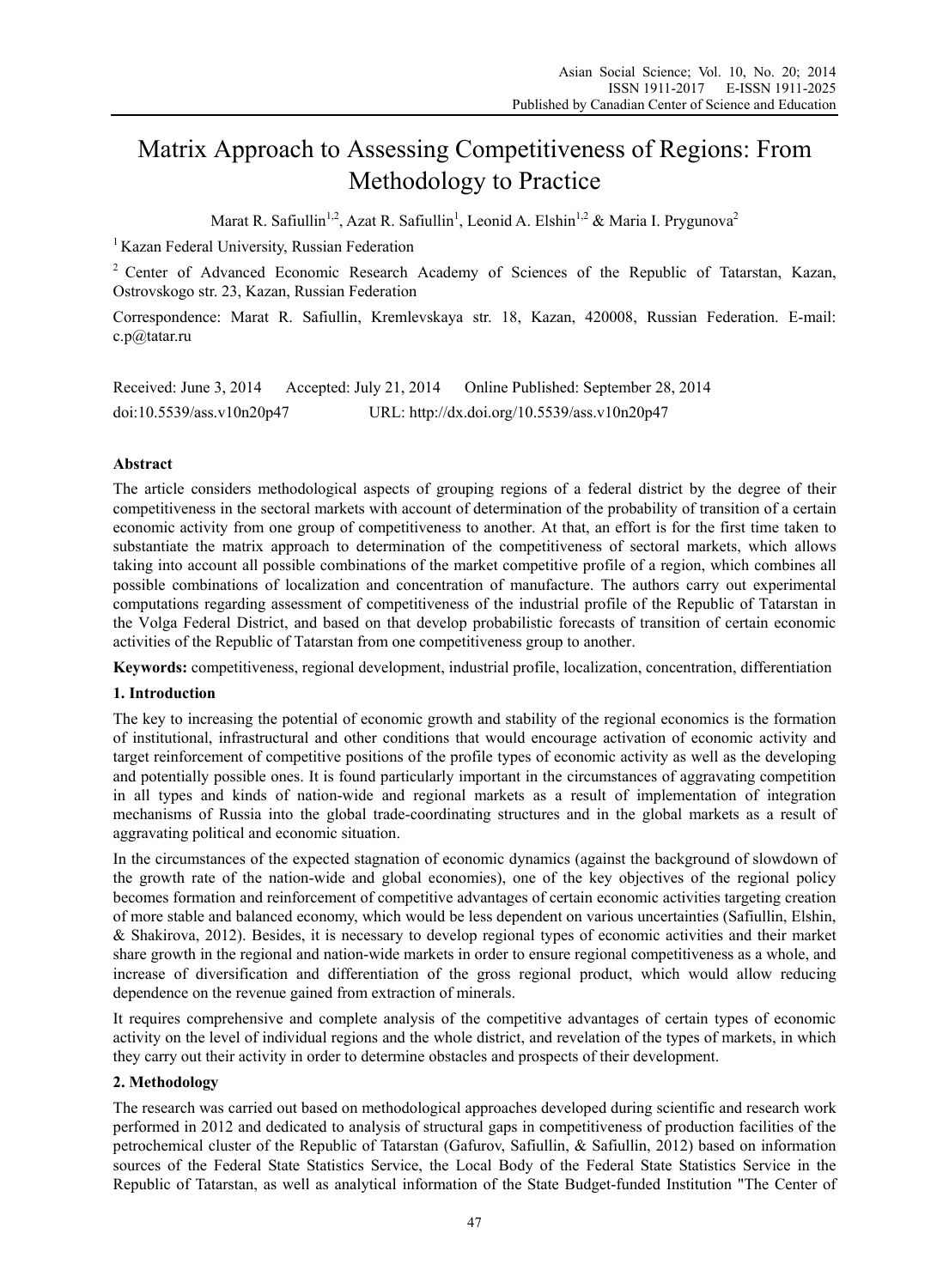# Matrix Approach to Assessing Competitiveness of Regions: From Methodology to Practice

Marat R. Safiullin<sup>1,2</sup>, Azat R. Safiullin<sup>1</sup>, Leonid A. Elshin<sup>1,2</sup> & Maria I. Prygunova<sup>2</sup>

<sup>1</sup> Kazan Federal University, Russian Federation

<sup>2</sup> Center of Advanced Economic Research Academy of Sciences of the Republic of Tatarstan, Kazan, Ostrovskogo str. 23, Kazan, Russian Federation

Correspondence: Marat R. Safiullin, Kremlevskaya str. 18, Kazan, 420008, Russian Federation. E-mail: c.p@tatar.ru

Received: June 3, 2014 Accepted: July 21, 2014 Online Published: September 28, 2014 doi:10.5539/ass.v10n20p47 URL: http://dx.doi.org/10.5539/ass.v10n20p47

## **Abstract**

The article considers methodological aspects of grouping regions of a federal district by the degree of their competitiveness in the sectoral markets with account of determination of the probability of transition of a certain economic activity from one group of competitiveness to another. At that, an effort is for the first time taken to substantiate the matrix approach to determination of the competitiveness of sectoral markets, which allows taking into account all possible combinations of the market competitive profile of a region, which combines all possible combinations of localization and concentration of manufacture. The authors carry out experimental computations regarding assessment of competitiveness of the industrial profile of the Republic of Tatarstan in the Volga Federal District, and based on that develop probabilistic forecasts of transition of certain economic activities of the Republic of Tatarstan from one competitiveness group to another.

**Keywords:** competitiveness, regional development, industrial profile, localization, concentration, differentiation

# **1. Introduction**

The key to increasing the potential of economic growth and stability of the regional economics is the formation of institutional, infrastructural and other conditions that would encourage activation of economic activity and target reinforcement of competitive positions of the profile types of economic activity as well as the developing and potentially possible ones. It is found particularly important in the circumstances of aggravating competition in all types and kinds of nation-wide and regional markets as a result of implementation of integration mechanisms of Russia into the global trade-coordinating structures and in the global markets as a result of aggravating political and economic situation.

In the circumstances of the expected stagnation of economic dynamics (against the background of slowdown of the growth rate of the nation-wide and global economies), one of the key objectives of the regional policy becomes formation and reinforcement of competitive advantages of certain economic activities targeting creation of more stable and balanced economy, which would be less dependent on various uncertainties (Safiullin, Elshin, & Shakirova, 2012). Besides, it is necessary to develop regional types of economic activities and their market share growth in the regional and nation-wide markets in order to ensure regional competitiveness as a whole, and increase of diversification and differentiation of the gross regional product, which would allow reducing dependence on the revenue gained from extraction of minerals.

It requires comprehensive and complete analysis of the competitive advantages of certain types of economic activity on the level of individual regions and the whole district, and revelation of the types of markets, in which they carry out their activity in order to determine obstacles and prospects of their development.

#### **2. Methodology**

The research was carried out based on methodological approaches developed during scientific and research work performed in 2012 and dedicated to analysis of structural gaps in competitiveness of production facilities of the petrochemical cluster of the Republic of Tatarstan (Gafurov, Safiullin, & Safiullin, 2012) based on information sources of the Federal State Statistics Service, the Local Body of the Federal State Statistics Service in the Republic of Tatarstan, as well as analytical information of the State Budget-funded Institution "The Center of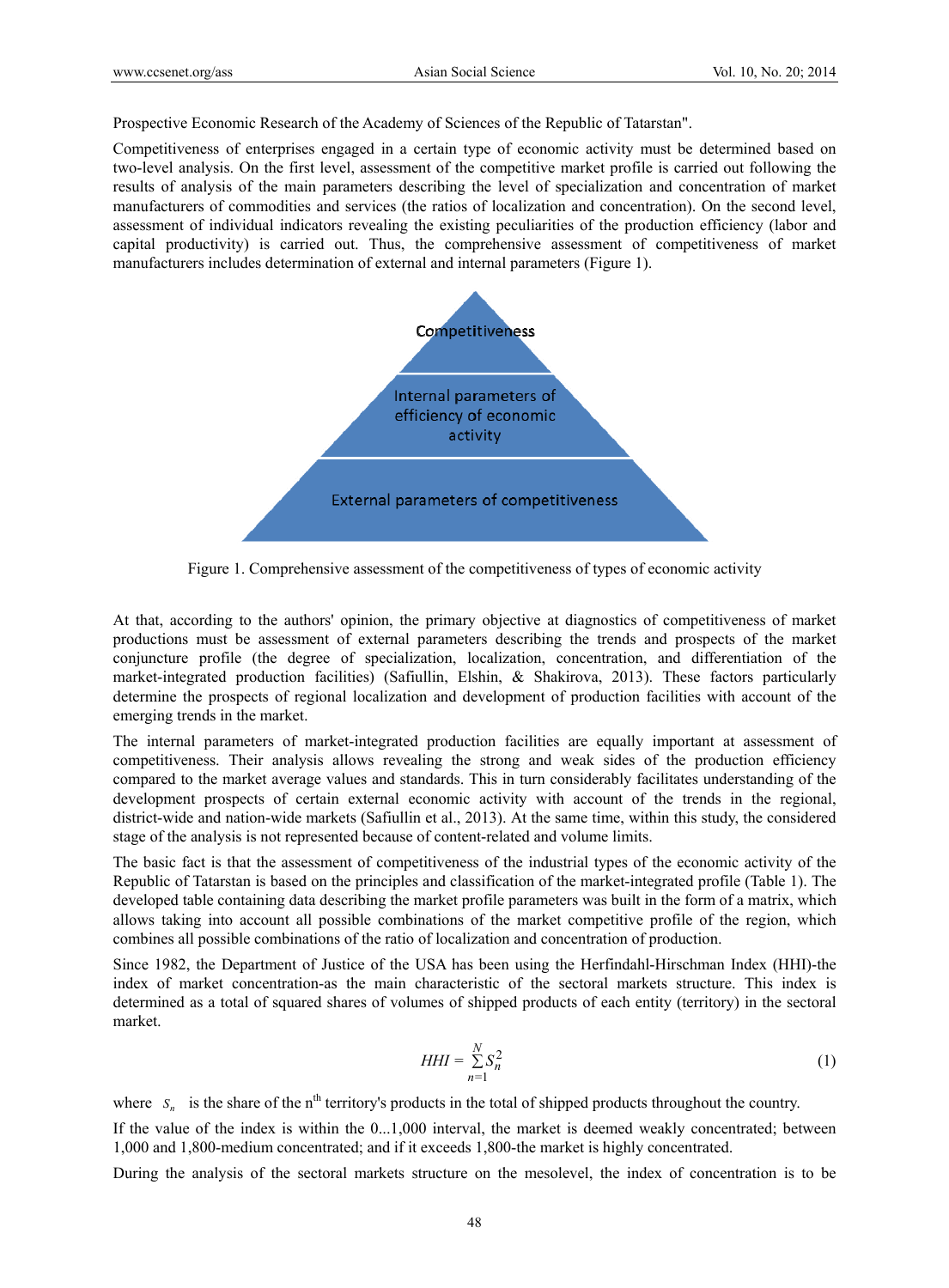Prospective Economic Research of the Academy of Sciences of the Republic of Tatarstan".

Competitiveness of enterprises engaged in a certain type of economic activity must be determined based on two-level analysis. On the first level, assessment of the competitive market profile is carried out following the results of analysis of the main parameters describing the level of specialization and concentration of market manufacturers of commodities and services (the ratios of localization and concentration). On the second level, assessment of individual indicators revealing the existing peculiarities of the production efficiency (labor and capital productivity) is carried out. Thus, the comprehensive assessment of competitiveness of market manufacturers includes determination of external and internal parameters (Figure 1).



Figure 1. Comprehensive assessment of the competitiveness of types of economic activity

At that, according to the authors' opinion, the primary objective at diagnostics of competitiveness of market productions must be assessment of external parameters describing the trends and prospects of the market conjuncture profile (the degree of specialization, localization, concentration, and differentiation of the market-integrated production facilities) (Safiullin, Elshin, & Shakirova, 2013). These factors particularly determine the prospects of regional localization and development of production facilities with account of the emerging trends in the market.

The internal parameters of market-integrated production facilities are equally important at assessment of competitiveness. Their analysis allows revealing the strong and weak sides of the production efficiency compared to the market average values and standards. This in turn considerably facilitates understanding of the development prospects of certain external economic activity with account of the trends in the regional, district-wide and nation-wide markets (Safiullin et al., 2013). At the same time, within this study, the considered stage of the analysis is not represented because of content-related and volume limits.

The basic fact is that the assessment of competitiveness of the industrial types of the economic activity of the Republic of Tatarstan is based on the principles and classification of the market-integrated profile (Table 1). The developed table containing data describing the market profile parameters was built in the form of a matrix, which allows taking into account all possible combinations of the market competitive profile of the region, which combines all possible combinations of the ratio of localization and concentration of production.

Since 1982, the Department of Justice of the USA has been using the Herfindahl-Hirschman Index (HHI)-the index of market concentration-as the main characteristic of the sectoral markets structure. This index is determined as a total of squared shares of volumes of shipped products of each entity (territory) in the sectoral market.

$$
HHI = \sum_{n=1}^{N} S_n^2 \tag{1}
$$

where  $S_n$  is the share of the n<sup>th</sup> territory's products in the total of shipped products throughout the country.

If the value of the index is within the 0...1,000 interval, the market is deemed weakly concentrated; between 1,000 and 1,800-medium concentrated; and if it exceeds 1,800-the market is highly concentrated.

During the analysis of the sectoral markets structure on the mesolevel, the index of concentration is to be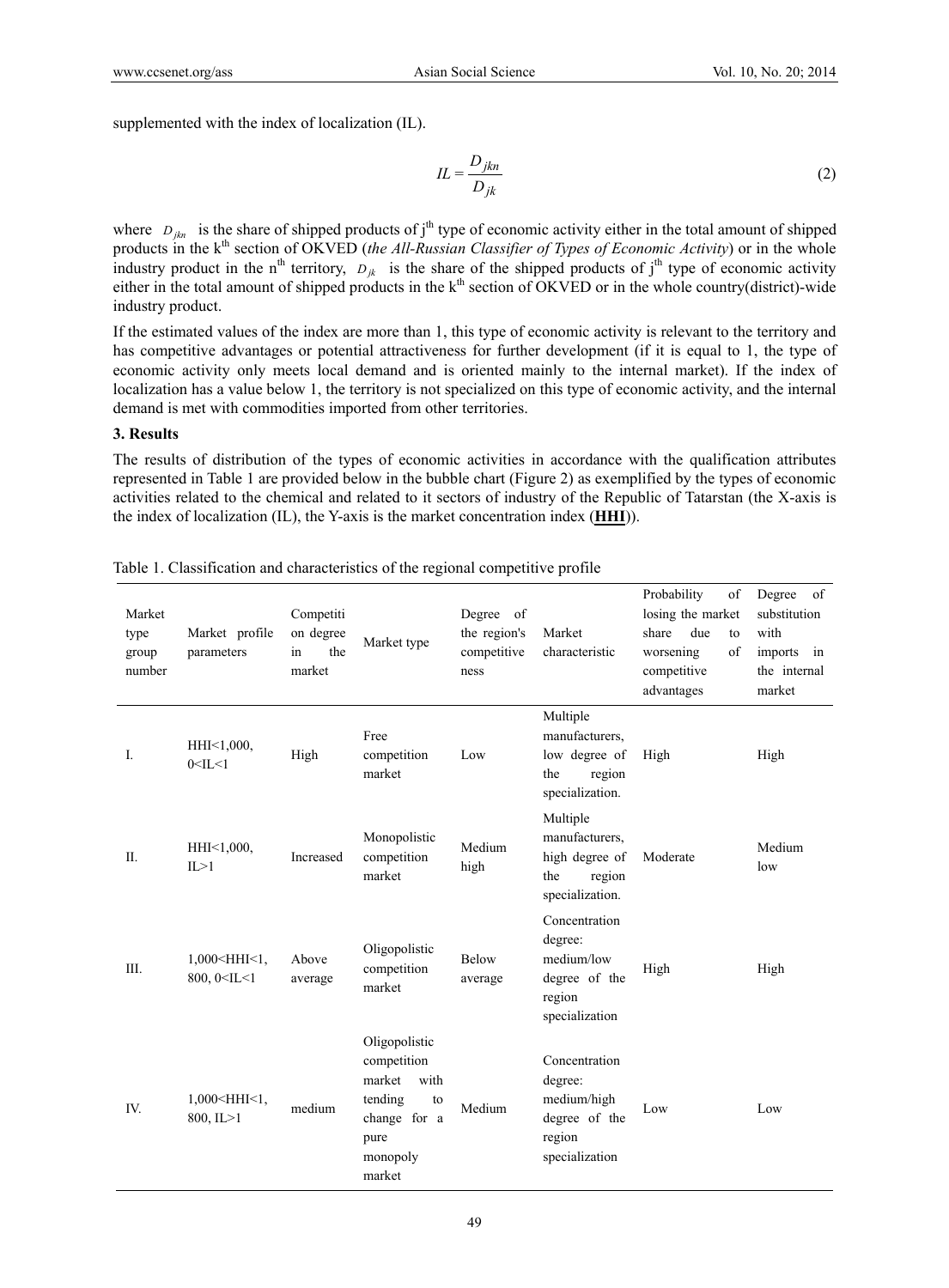supplemented with the index of localization (IL).

$$
IL = \frac{D_{jkn}}{D_{jk}}\tag{2}
$$

where  $D_{ikn}$  is the share of shipped products of j<sup>th</sup> type of economic activity either in the total amount of shipped products in the k<sup>th</sup> section of OKVED (*the All-Russian Classifier of Types of Economic Activity*) or in the whole industry product in the n<sup>th</sup> territory,  $D_{jk}$  is the share of the shipped products of j<sup>th</sup> type of economic activity either in the total amount of shipped products in the  $k<sup>th</sup>$  section of OKVED or in the whole country(district)-wide industry product.

If the estimated values of the index are more than 1, this type of economic activity is relevant to the territory and has competitive advantages or potential attractiveness for further development (if it is equal to 1, the type of economic activity only meets local demand and is oriented mainly to the internal market). If the index of localization has a value below 1, the territory is not specialized on this type of economic activity, and the internal demand is met with commodities imported from other territories.

#### **3. Results**

The results of distribution of the types of economic activities in accordance with the qualification attributes represented in Table 1 are provided below in the bubble chart (Figure 2) as exemplified by the types of economic activities related to the chemical and related to it sectors of industry of the Republic of Tatarstan (the X-axis is the index of localization (IL), the Y-axis is the market concentration index (**HHI**)).

| Market<br>type<br>group<br>number | Market profile<br>parameters                                                                                                                                                                                                                                                                  | Competiti<br>on degree<br>the<br>in<br>market | Market type                                                                                                   | Degree of<br>the region's<br>competitive<br>ness | Market<br>characteristic                                                             | Probability<br>of<br>losing the market<br>due<br>share<br>to<br>worsening<br>of<br>competitive<br>advantages | Degree<br>of<br>substitution<br>with<br>imports<br>in<br>the internal<br>market |
|-----------------------------------|-----------------------------------------------------------------------------------------------------------------------------------------------------------------------------------------------------------------------------------------------------------------------------------------------|-----------------------------------------------|---------------------------------------------------------------------------------------------------------------|--------------------------------------------------|--------------------------------------------------------------------------------------|--------------------------------------------------------------------------------------------------------------|---------------------------------------------------------------------------------|
| I.                                | HHI<1,000,<br>$0<$ IL $<$ 1                                                                                                                                                                                                                                                                   | High                                          | Free<br>competition<br>market                                                                                 | Low                                              | Multiple<br>manufacturers,<br>low degree of<br>the<br>region<br>specialization.      | High                                                                                                         | High                                                                            |
| II.                               | HHI <sub>1,000</sub><br>II > 1                                                                                                                                                                                                                                                                | Increased                                     | Monopolistic<br>competition<br>market                                                                         | Medium<br>high                                   | Multiple<br>manufacturers,<br>high degree of<br>region<br>the<br>specialization.     | Moderate                                                                                                     | Medium<br>low                                                                   |
| III.                              | $1,000 \leq H \leq 1,$<br>800, 0 <il<1< td=""><td>Above<br/>average</td><td>Oligopolistic<br/>competition<br/>market</td><td><b>Below</b><br/>average</td><td>Concentration<br/>degree:<br/>medium/low<br/>degree of the<br/>region<br/>specialization</td><td>High</td><td>High</td></il<1<> | Above<br>average                              | Oligopolistic<br>competition<br>market                                                                        | <b>Below</b><br>average                          | Concentration<br>degree:<br>medium/low<br>degree of the<br>region<br>specialization  | High                                                                                                         | High                                                                            |
| IV.                               | $1,000$ $\leq$ HHI $\leq$ 1,<br>800, IL>1                                                                                                                                                                                                                                                     | medium                                        | Oligopolistic<br>competition<br>with<br>market<br>tending<br>to<br>change for a<br>pure<br>monopoly<br>market | Medium                                           | Concentration<br>degree:<br>medium/high<br>degree of the<br>region<br>specialization | Low                                                                                                          | Low                                                                             |

Table 1. Classification and characteristics of the regional competitive profile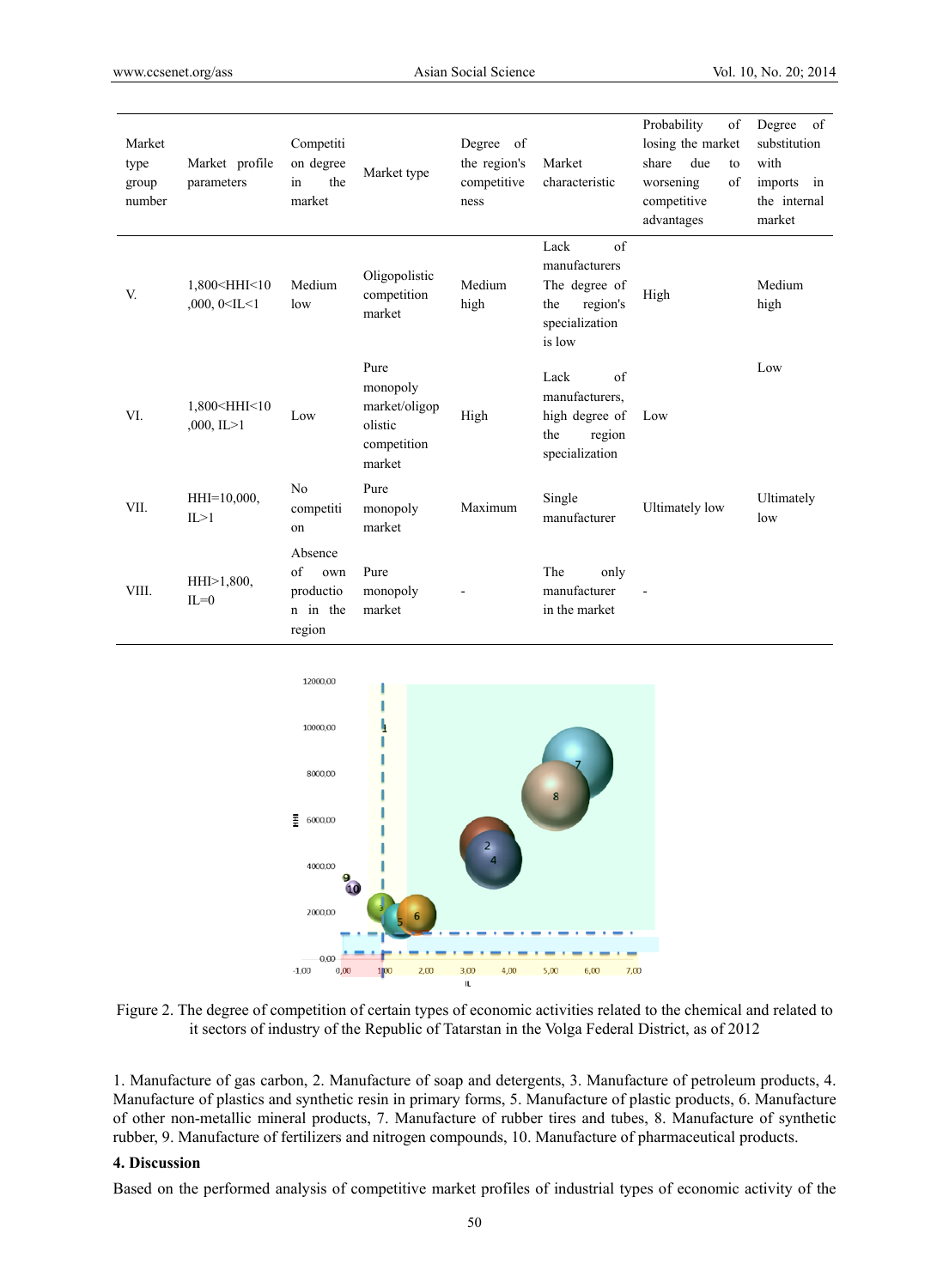l,

| Market<br>type<br>group<br>number | Market profile<br>parameters                                             | Competiti<br>on degree<br>in<br>the<br>market           | Market type                                                           | Degree of<br>the region's<br>competitive<br>ness | Market<br>characteristic                                                                    | Probability<br>of<br>losing the market<br>due<br>share<br>to<br>worsening<br>of<br>competitive<br>advantages | Degree<br>of<br>substitution<br>with<br>imports<br>in<br>the internal<br>market |
|-----------------------------------|--------------------------------------------------------------------------|---------------------------------------------------------|-----------------------------------------------------------------------|--------------------------------------------------|---------------------------------------------------------------------------------------------|--------------------------------------------------------------------------------------------------------------|---------------------------------------------------------------------------------|
| V.                                | 1,800 <hhi<10<br><math>,000,0&lt;</math>IL<math>&lt;</math>1</hhi<10<br> | Medium<br>low                                           | Oligopolistic<br>competition<br>market                                | Medium<br>high                                   | Lack<br>of<br>manufacturers<br>The degree of<br>region's<br>the<br>specialization<br>is low | High                                                                                                         | Medium<br>high                                                                  |
| VI.                               | 1,800 <hhi<10<br><math>,000</math>, IL<math>&gt;1</math></hhi<10<br>     | Low                                                     | Pure<br>monopoly<br>market/oligop<br>olistic<br>competition<br>market | High                                             | Lack<br>of<br>manufacturers,<br>high degree of<br>region<br>the<br>specialization           | Low                                                                                                          | Low                                                                             |
| VII.                              | HHI=10,000,<br>IL > 1                                                    | $\rm No$<br>competiti<br>on                             | Pure<br>monopoly<br>market                                            | Maximum                                          | Single<br>manufacturer                                                                      | <b>Ultimately</b> low                                                                                        | Ultimately<br>low                                                               |
| VIII.                             | HHI>1,800,<br>$IL=0$                                                     | Absence<br>of<br>own<br>productio<br>n in the<br>region | Pure<br>monopoly<br>market                                            |                                                  | The<br>only<br>manufacturer<br>in the market                                                |                                                                                                              |                                                                                 |
|                                   |                                                                          | 12000,00                                                |                                                                       |                                                  |                                                                                             |                                                                                                              |                                                                                 |
|                                   |                                                                          | 10000,00<br>8000,00                                     | Ł                                                                     |                                                  |                                                                                             |                                                                                                              |                                                                                 |
|                                   |                                                                          | 토 6000,00                                               |                                                                       | $\overline{2}$                                   | 8                                                                                           |                                                                                                              |                                                                                 |



Figure 2. The degree of competition of certain types of economic activities related to the chemical and related to it sectors of industry of the Republic of Tatarstan in the Volga Federal District, as of 2012

1. Manufacture of gas carbon, 2. Manufacture of soap and detergents, 3. Manufacture of petroleum products, 4. Manufacture of plastics and synthetic resin in primary forms, 5. Manufacture of plastic products, 6. Manufacture of other non-metallic mineral products, 7. Manufacture of rubber tires and tubes, 8. Manufacture of synthetic rubber, 9. Manufacture of fertilizers and nitrogen compounds, 10. Manufacture of pharmaceutical products.

## **4. Discussion**

Based on the performed analysis of competitive market profiles of industrial types of economic activity of the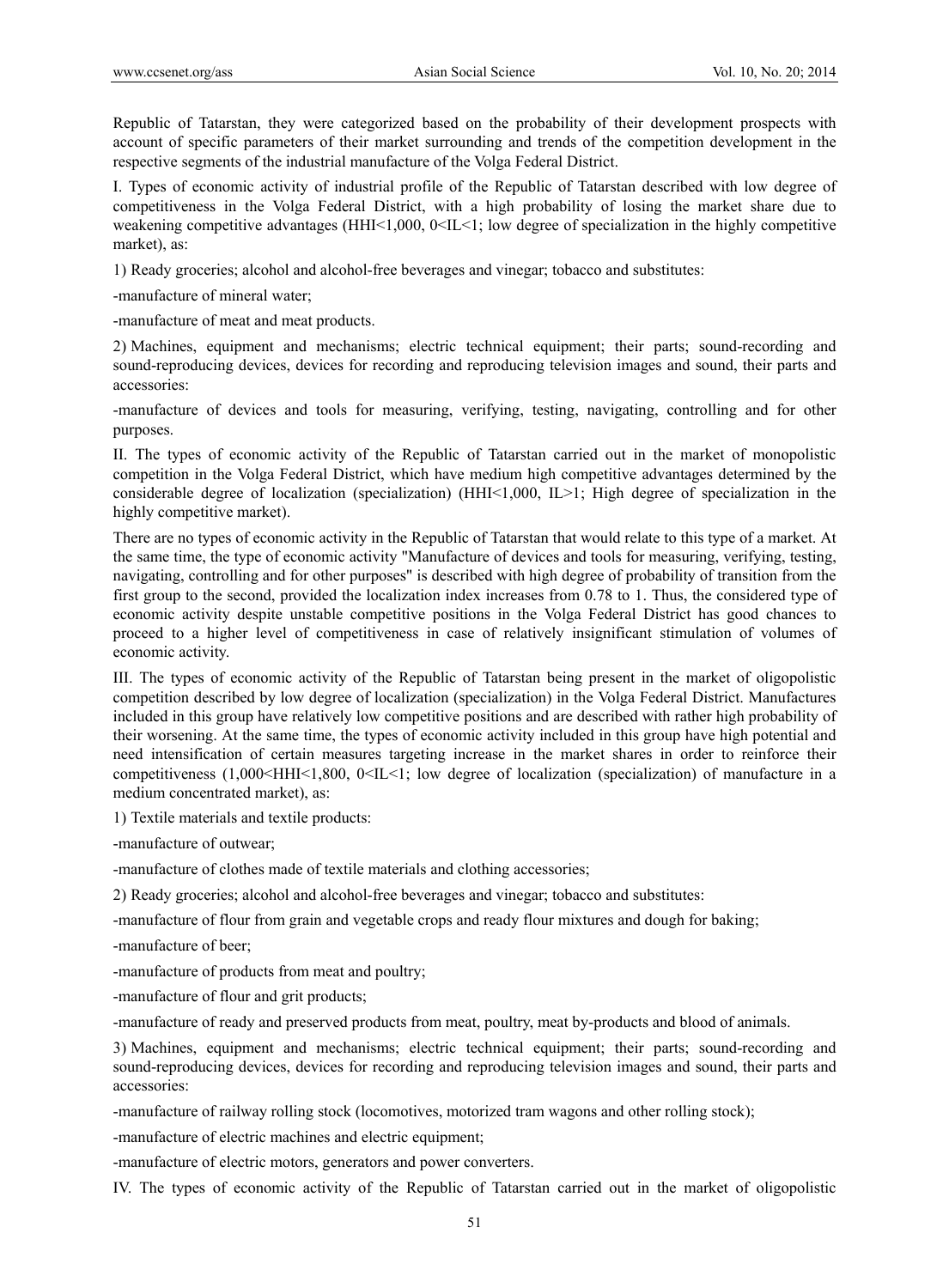Republic of Tatarstan, they were categorized based on the probability of their development prospects with account of specific parameters of their market surrounding and trends of the competition development in the respective segments of the industrial manufacture of the Volga Federal District.

I. Types of economic activity of industrial profile of the Republic of Tatarstan described with low degree of competitiveness in the Volga Federal District, with a high probability of losing the market share due to weakening competitive advantages (HHI $\leq$ 1,000,0 $\leq$ IL $\leq$ 1; low degree of specialization in the highly competitive market), as:

1) Ready groceries; alcohol and alcohol-free beverages and vinegar; tobacco and substitutes:

-manufacture of mineral water;

-manufacture of meat and meat products.

2) Machines, equipment and mechanisms; electric technical equipment; their parts; sound-recording and sound-reproducing devices, devices for recording and reproducing television images and sound, their parts and accessories:

-manufacture of devices and tools for measuring, verifying, testing, navigating, controlling and for other purposes.

II. The types of economic activity of the Republic of Tatarstan carried out in the market of monopolistic competition in the Volga Federal District, which have medium high competitive advantages determined by the considerable degree of localization (specialization) (HHI<1,000, IL>1; High degree of specialization in the highly competitive market).

There are no types of economic activity in the Republic of Tatarstan that would relate to this type of a market. At the same time, the type of economic activity "Manufacture of devices and tools for measuring, verifying, testing, navigating, controlling and for other purposes" is described with high degree of probability of transition from the first group to the second, provided the localization index increases from 0.78 to 1. Thus, the considered type of economic activity despite unstable competitive positions in the Volga Federal District has good chances to proceed to a higher level of competitiveness in case of relatively insignificant stimulation of volumes of economic activity.

III. The types of economic activity of the Republic of Tatarstan being present in the market of oligopolistic competition described by low degree of localization (specialization) in the Volga Federal District. Manufactures included in this group have relatively low competitive positions and are described with rather high probability of their worsening. At the same time, the types of economic activity included in this group have high potential and need intensification of certain measures targeting increase in the market shares in order to reinforce their competitiveness  $(1,000 \le HHI \le 1,800, 0 \le IL \le 1$ ; low degree of localization (specialization) of manufacture in a medium concentrated market), as:

1) Textile materials and textile products:

-manufacture of outwear;

-manufacture of clothes made of textile materials and clothing accessories;

2) Ready groceries; alcohol and alcohol-free beverages and vinegar; tobacco and substitutes:

-manufacture of flour from grain and vegetable crops and ready flour mixtures and dough for baking;

-manufacture of beer;

-manufacture of products from meat and poultry;

-manufacture of flour and grit products;

-manufacture of ready and preserved products from meat, poultry, meat by-products and blood of animals.

3) Machines, equipment and mechanisms; electric technical equipment; their parts; sound-recording and sound-reproducing devices, devices for recording and reproducing television images and sound, their parts and accessories:

-manufacture of railway rolling stock (locomotives, motorized tram wagons and other rolling stock);

-manufacture of electric machines and electric equipment;

-manufacture of electric motors, generators and power converters.

IV. The types of economic activity of the Republic of Tatarstan carried out in the market of oligopolistic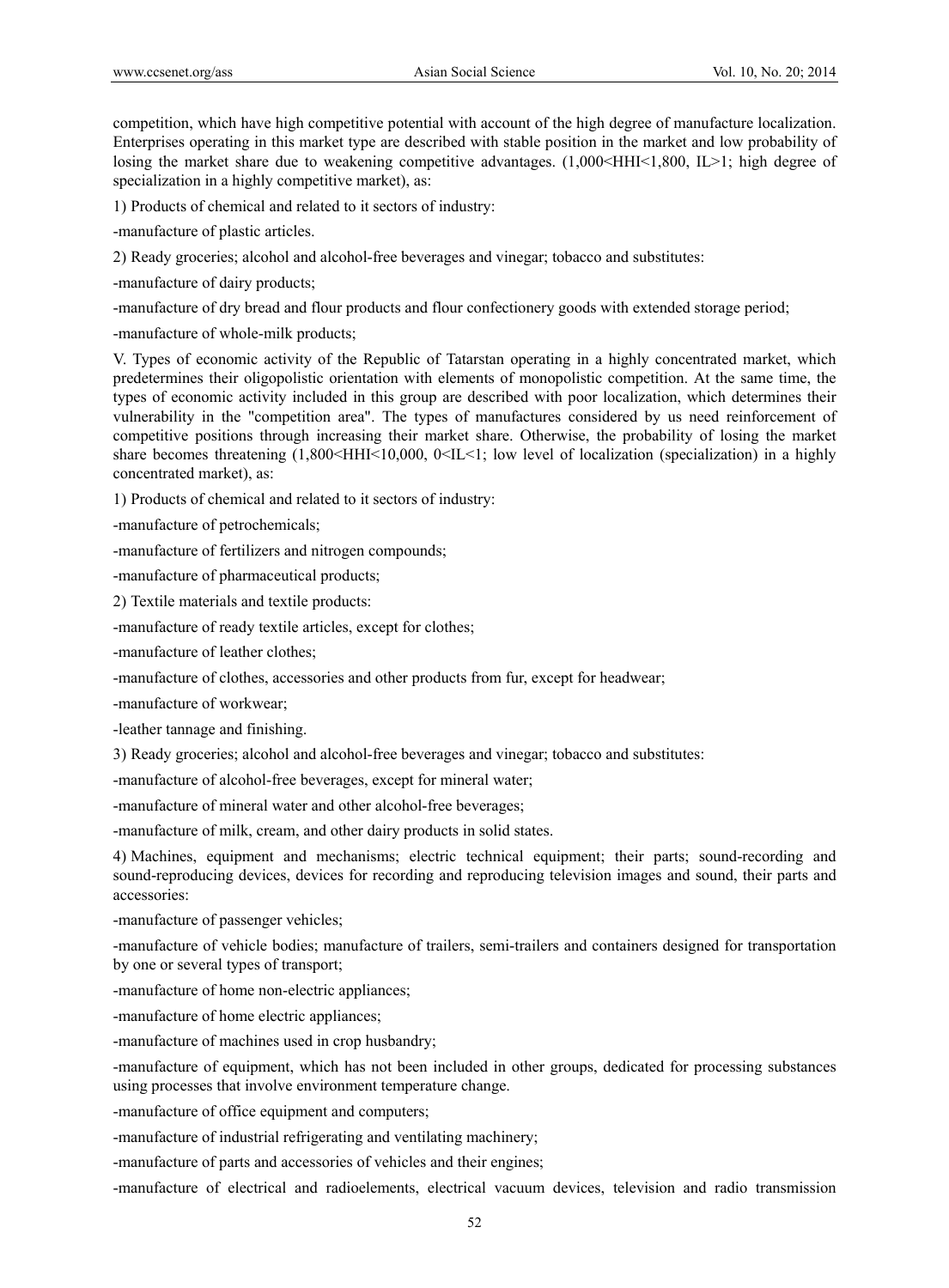competition, which have high competitive potential with account of the high degree of manufacture localization. Enterprises operating in this market type are described with stable position in the market and low probability of losing the market share due to weakening competitive advantages.  $(1,000<$ HHI $< 1,800$ , IL $> 1$ ; high degree of specialization in a highly competitive market), as:

1) Products of chemical and related to it sectors of industry:

-manufacture of plastic articles.

2) Ready groceries; alcohol and alcohol-free beverages and vinegar; tobacco and substitutes:

-manufacture of dairy products;

-manufacture of dry bread and flour products and flour confectionery goods with extended storage period;

-manufacture of whole-milk products;

V. Types of economic activity of the Republic of Tatarstan operating in a highly concentrated market, which predetermines their oligopolistic orientation with elements of monopolistic competition. At the same time, the types of economic activity included in this group are described with poor localization, which determines their vulnerability in the "competition area". The types of manufactures considered by us need reinforcement of competitive positions through increasing their market share. Otherwise, the probability of losing the market share becomes threatening  $(1,800 \leq HH1 \leq 10,000, 0 \leq IL \leq 1$ ; low level of localization (specialization) in a highly concentrated market), as:

1) Products of chemical and related to it sectors of industry:

-manufacture of petrochemicals;

-manufacture of fertilizers and nitrogen compounds;

-manufacture of pharmaceutical products;

2) Textile materials and textile products:

-manufacture of ready textile articles, except for clothes;

-manufacture of leather clothes;

-manufacture of clothes, accessories and other products from fur, except for headwear;

-manufacture of workwear;

-leather tannage and finishing.

3) Ready groceries; alcohol and alcohol-free beverages and vinegar; tobacco and substitutes:

-manufacture of alcohol-free beverages, except for mineral water;

-manufacture of mineral water and other alcohol-free beverages;

-manufacture of milk, cream, and other dairy products in solid states.

4) Machines, equipment and mechanisms; electric technical equipment; their parts; sound-recording and sound-reproducing devices, devices for recording and reproducing television images and sound, their parts and accessories:

-manufacture of passenger vehicles;

-manufacture of vehicle bodies; manufacture of trailers, semi-trailers and containers designed for transportation by one or several types of transport;

-manufacture of home non-electric appliances;

-manufacture of home electric appliances;

-manufacture of machines used in crop husbandry;

-manufacture of equipment, which has not been included in other groups, dedicated for processing substances using processes that involve environment temperature change.

-manufacture of office equipment and computers;

-manufacture of industrial refrigerating and ventilating machinery;

-manufacture of parts and accessories of vehicles and their engines;

-manufacture of electrical and radioelements, electrical vacuum devices, television and radio transmission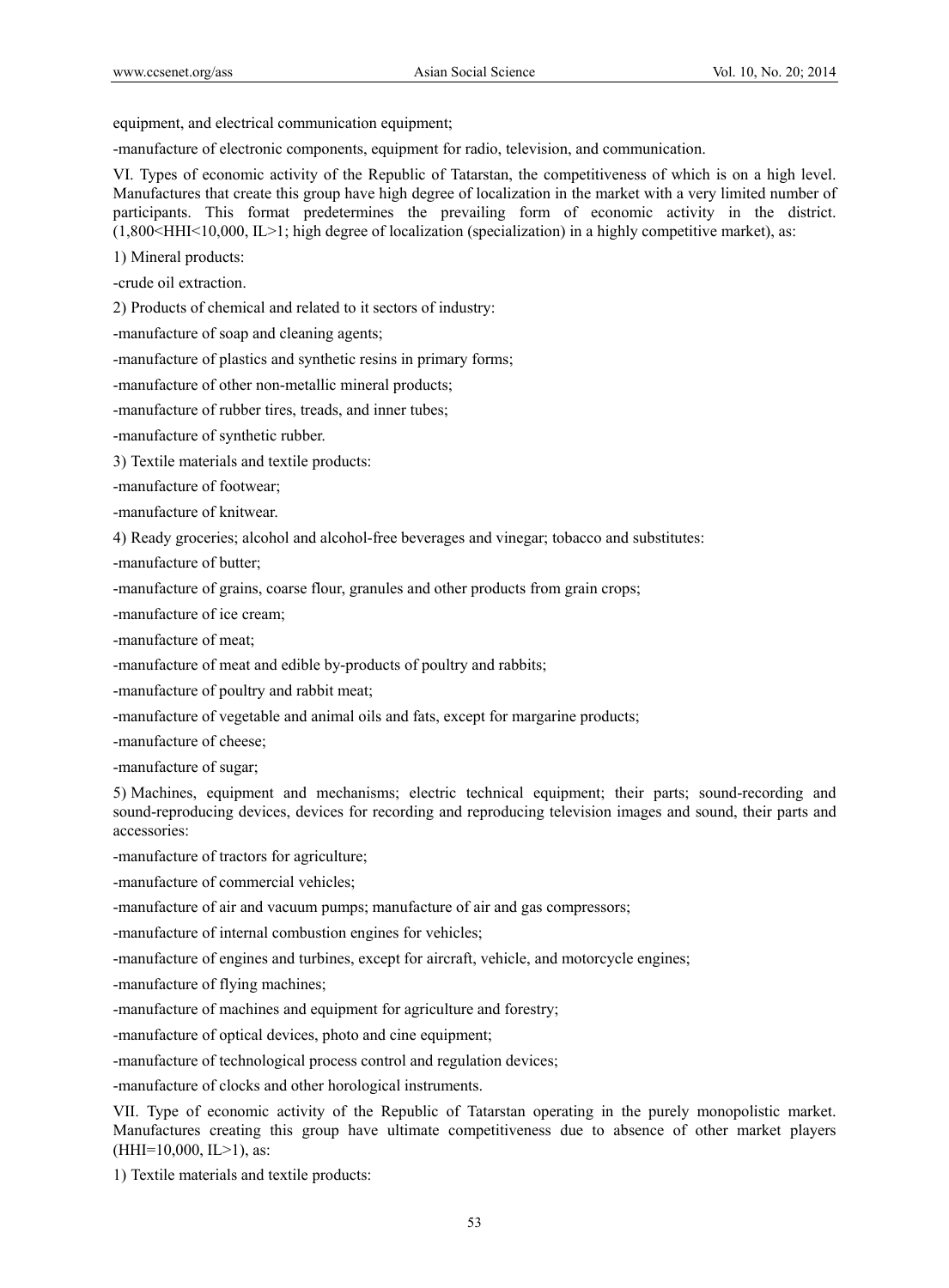equipment, and electrical communication equipment;

-manufacture of electronic components, equipment for radio, television, and communication.

VI. Types of economic activity of the Republic of Tatarstan, the competitiveness of which is on a high level. Manufactures that create this group have high degree of localization in the market with a very limited number of participants. This format predetermines the prevailing form of economic activity in the district.  $(1,800\leq HHI\leq10,000, IL>1; high degree of localization (specialization) in a highly competitive market), as:$ 

1) Mineral products:

-crude oil extraction.

2) Products of chemical and related to it sectors of industry:

-manufacture of soap and cleaning agents;

-manufacture of plastics and synthetic resins in primary forms;

-manufacture of other non-metallic mineral products;

-manufacture of rubber tires, treads, and inner tubes;

-manufacture of synthetic rubber.

3) Textile materials and textile products:

-manufacture of footwear;

-manufacture of knitwear.

4) Ready groceries; alcohol and alcohol-free beverages and vinegar; tobacco and substitutes:

-manufacture of butter;

-manufacture of grains, coarse flour, granules and other products from grain crops;

-manufacture of ice cream;

-manufacture of meat;

-manufacture of meat and edible by-products of poultry and rabbits;

-manufacture of poultry and rabbit meat;

-manufacture of vegetable and animal oils and fats, except for margarine products;

-manufacture of cheese;

-manufacture of sugar;

5) Machines, equipment and mechanisms; electric technical equipment; their parts; sound-recording and sound-reproducing devices, devices for recording and reproducing television images and sound, their parts and accessories:

-manufacture of tractors for agriculture;

-manufacture of commercial vehicles;

-manufacture of air and vacuum pumps; manufacture of air and gas compressors;

-manufacture of internal combustion engines for vehicles;

-manufacture of engines and turbines, except for aircraft, vehicle, and motorcycle engines;

-manufacture of flying machines;

-manufacture of machines and equipment for agriculture and forestry;

-manufacture of optical devices, photo and cine equipment;

-manufacture of technological process control and regulation devices;

-manufacture of clocks and other horological instruments.

VII. Type of economic activity of the Republic of Tatarstan operating in the purely monopolistic market. Manufactures creating this group have ultimate competitiveness due to absence of other market players  $(HHI=10,000, IL>1)$ , as:

1) Textile materials and textile products: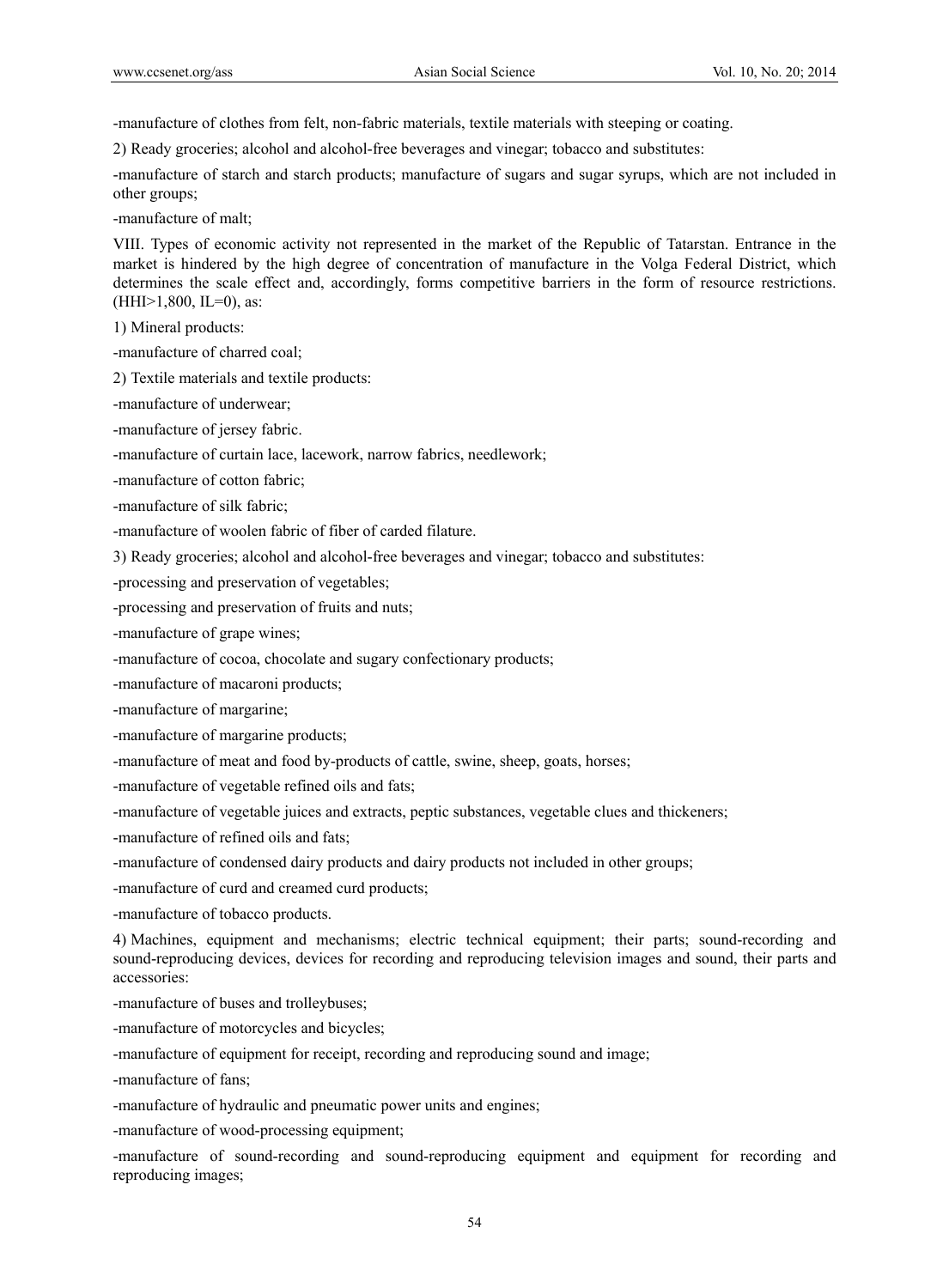-manufacture of clothes from felt, non-fabric materials, textile materials with steeping or coating.

2) Ready groceries; alcohol and alcohol-free beverages and vinegar; tobacco and substitutes:

-manufacture of starch and starch products; manufacture of sugars and sugar syrups, which are not included in other groups;

-manufacture of malt;

VIII. Types of economic activity not represented in the market of the Republic of Tatarstan. Entrance in the market is hindered by the high degree of concentration of manufacture in the Volga Federal District, which determines the scale effect and, accordingly, forms competitive barriers in the form of resource restrictions.  $(HHI>1,800, IL=0)$ , as:

1) Mineral products:

-manufacture of charred coal;

2) Textile materials and textile products:

-manufacture of underwear;

-manufacture of jersey fabric.

-manufacture of curtain lace, lacework, narrow fabrics, needlework;

-manufacture of cotton fabric;

-manufacture of silk fabric;

-manufacture of woolen fabric of fiber of carded filature.

3) Ready groceries; alcohol and alcohol-free beverages and vinegar; tobacco and substitutes:

-processing and preservation of vegetables;

-processing and preservation of fruits and nuts;

-manufacture of grape wines;

-manufacture of cocoa, chocolate and sugary confectionary products;

-manufacture of macaroni products;

-manufacture of margarine;

-manufacture of margarine products;

-manufacture of meat and food by-products of cattle, swine, sheep, goats, horses;

-manufacture of vegetable refined oils and fats;

-manufacture of vegetable juices and extracts, peptic substances, vegetable clues and thickeners;

-manufacture of refined oils and fats;

-manufacture of condensed dairy products and dairy products not included in other groups;

-manufacture of curd and creamed curd products;

-manufacture of tobacco products.

4) Machines, equipment and mechanisms; electric technical equipment; their parts; sound-recording and sound-reproducing devices, devices for recording and reproducing television images and sound, their parts and accessories:

-manufacture of buses and trolleybuses;

-manufacture of motorcycles and bicycles;

-manufacture of equipment for receipt, recording and reproducing sound and image;

-manufacture of fans;

-manufacture of hydraulic and pneumatic power units and engines;

-manufacture of wood-processing equipment;

-manufacture of sound-recording and sound-reproducing equipment and equipment for recording and reproducing images;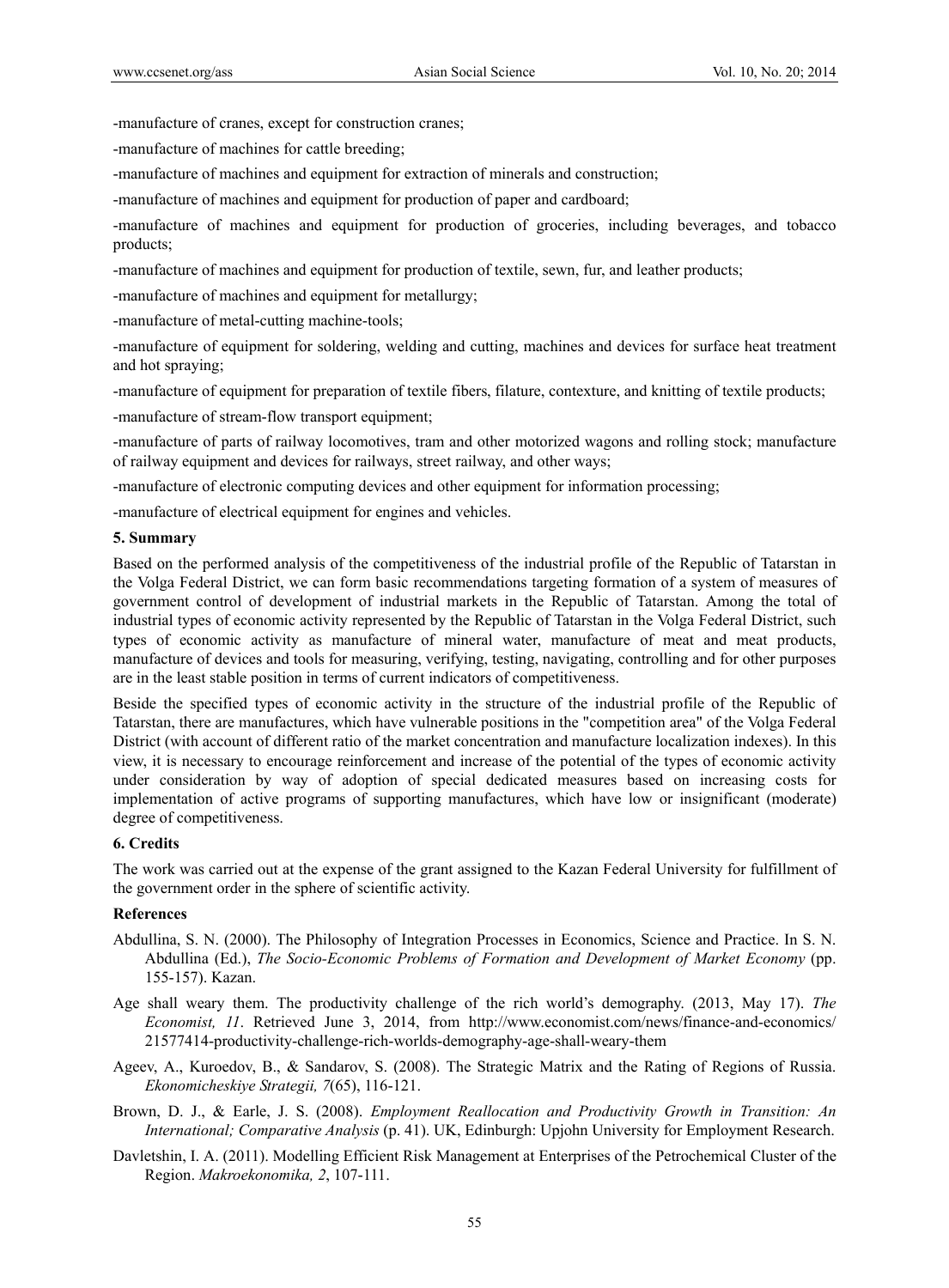-manufacture of cranes, except for construction cranes;

-manufacture of machines for cattle breeding;

-manufacture of machines and equipment for extraction of minerals and construction;

-manufacture of machines and equipment for production of paper and cardboard;

-manufacture of machines and equipment for production of groceries, including beverages, and tobacco products;

-manufacture of machines and equipment for production of textile, sewn, fur, and leather products;

-manufacture of machines and equipment for metallurgy;

-manufacture of metal-cutting machine-tools;

-manufacture of equipment for soldering, welding and cutting, machines and devices for surface heat treatment and hot spraying;

-manufacture of equipment for preparation of textile fibers, filature, contexture, and knitting of textile products;

-manufacture of stream-flow transport equipment;

-manufacture of parts of railway locomotives, tram and other motorized wagons and rolling stock; manufacture of railway equipment and devices for railways, street railway, and other ways;

-manufacture of electronic computing devices and other equipment for information processing;

-manufacture of electrical equipment for engines and vehicles.

#### **5. Summary**

Based on the performed analysis of the competitiveness of the industrial profile of the Republic of Tatarstan in the Volga Federal District, we can form basic recommendations targeting formation of a system of measures of government control of development of industrial markets in the Republic of Tatarstan. Among the total of industrial types of economic activity represented by the Republic of Tatarstan in the Volga Federal District, such types of economic activity as manufacture of mineral water, manufacture of meat and meat products, manufacture of devices and tools for measuring, verifying, testing, navigating, controlling and for other purposes are in the least stable position in terms of current indicators of competitiveness.

Beside the specified types of economic activity in the structure of the industrial profile of the Republic of Tatarstan, there are manufactures, which have vulnerable positions in the "competition area" of the Volga Federal District (with account of different ratio of the market concentration and manufacture localization indexes). In this view, it is necessary to encourage reinforcement and increase of the potential of the types of economic activity under consideration by way of adoption of special dedicated measures based on increasing costs for implementation of active programs of supporting manufactures, which have low or insignificant (moderate) degree of competitiveness.

#### **6. Credits**

The work was carried out at the expense of the grant assigned to the Kazan Federal University for fulfillment of the government order in the sphere of scientific activity.

## **References**

- Abdullina, S. N. (2000). The Philosophy of Integration Processes in Economics, Science and Practice. In S. N. Abdullina (Ed.), *The Socio-Economic Problems of Formation and Development of Market Economy* (pp. 155-157). Kazan.
- Age shall weary them. The productivity challenge of the rich world's demography. (2013, May 17). *The Economist, 11*. Retrieved June 3, 2014, from http://www.economist.com/news/finance-and-economics/ 21577414-productivity-challenge-rich-worlds-demography-age-shall-weary-them
- Ageev, A., Kuroedov, B., & Sandarov, S. (2008). The Strategic Matrix and the Rating of Regions of Russia. *Ekonomicheskiye Strategii, 7*(65), 116-121.
- Brown, D. J., & Earle, J. S. (2008). *Employment Reallocation and Productivity Growth in Transition: An International; Comparative Analysis* (p. 41). UK, Edinburgh: Upjohn University for Employment Research.
- Davletshin, I. A. (2011). Modelling Efficient Risk Management at Enterprises of the Petrochemical Cluster of the Region. *Makroekonomika, 2*, 107-111.